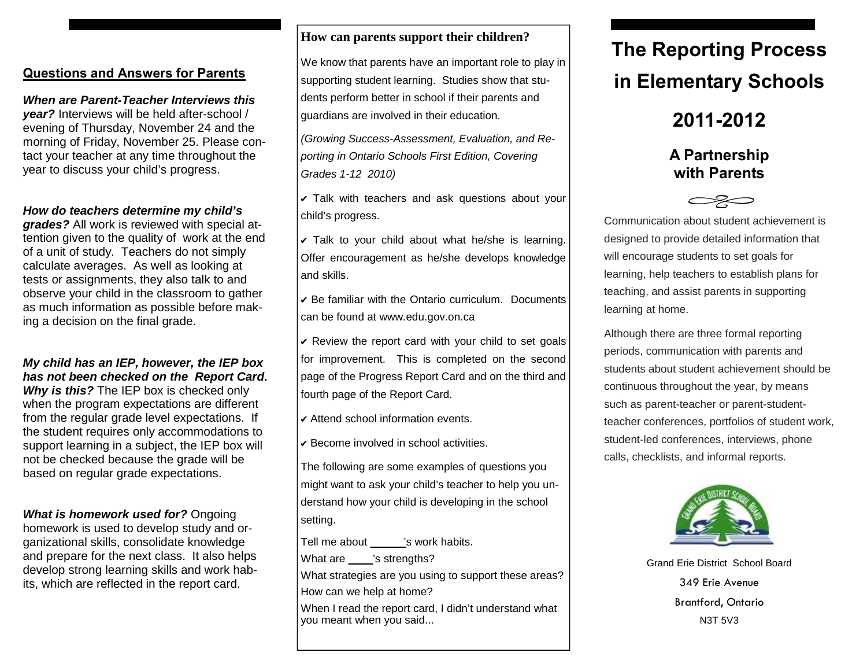## **Questions and Answers for Parents**

# *When are Parent-Teacher Interviews this*

*year?* Interviews will be held after-school / evening of Thursday, November 24 and the morning of Friday, November 25. Please contact your teacher at any time throughout the year to discuss your child's progress.

## *How do teachers determine my child's*

*grades?* All work is reviewed with special attention given to the quality of work at the end of a unit of study. Teachers do not simply calculate averages. As well as looking at tests or assignments, they also talk to and observe your child in the classroom to gather as much information as possible before making a decision on the final grade.

# *My child has an IEP, however, the IEP box has not been checked on the Report Card.*

*Why is this?* The IEP box is checked only when the program expectations are different from the regular grade level expectations. If the student requires only accommodations to support learning in a subject, the IEP box will not be checked because the grade will be based on regular grade expectations.

# *What is homework used for?* Ongoing

homework is used to develop study and organizational skills, consolidate knowledge and prepare for the next class. It also helps develop strong learning skills and work habits, which are reflected in the report card.

## **How can parents support their children?**

We know that parents have an important role to play in supporting student learning. Studies show that students perform better in school if their parents and guardians are involved in their education.

*(Growing Success-Assessment, Evaluation, and Reporting in Ontario Schools First Edition, Covering Grades 1-12 2010)*

✔ Talk with teachers and ask questions about your child's progress.

 $\triangledown$  Talk to your child about what he/she is learning. Offer encouragement as he/she develops knowledge and skills.

✔ Be familiar with the Ontario curriculum. Documents can be found at www.edu.gov.on.ca

 $\triangledown$  Review the report card with your child to set goals for improvement. This is completed on the second page of the Progress Report Card and on the third and fourth page of the Report Card.

✔ Attend school information events.

✔ Become involved in school activities.

The following are some examples of questions you might want to ask your child's teacher to help you understand how your child is developing in the school setting.

Tell me about but is work habits.

What are \_\_\_\_\_'s strengths?

What strategies are you using to support these areas? How can we help at home?

When I read the report card, I didn't understand what you meant when you said...

# **The Reporting Process in Elementary Schools**

**2011-2012** 

# **A Partnership with Parents**

Communication about student achievement is designed to provide detailed information that will encourage students to set goals for learning, help teachers to establish plans for teaching, and assist parents in supporting learning at home.

Although there are three formal reporting periods, communication with parents and students about student achievement should be continuous throughout the year, by means such as parent-teacher or parent-studentteacher conferences, portfolios of student work, student-led conferences, interviews, phone calls, checklists, and informal reports.



Grand Erie District School Board 349 Erie Avenue Brantford, Ontario N3T 5V3